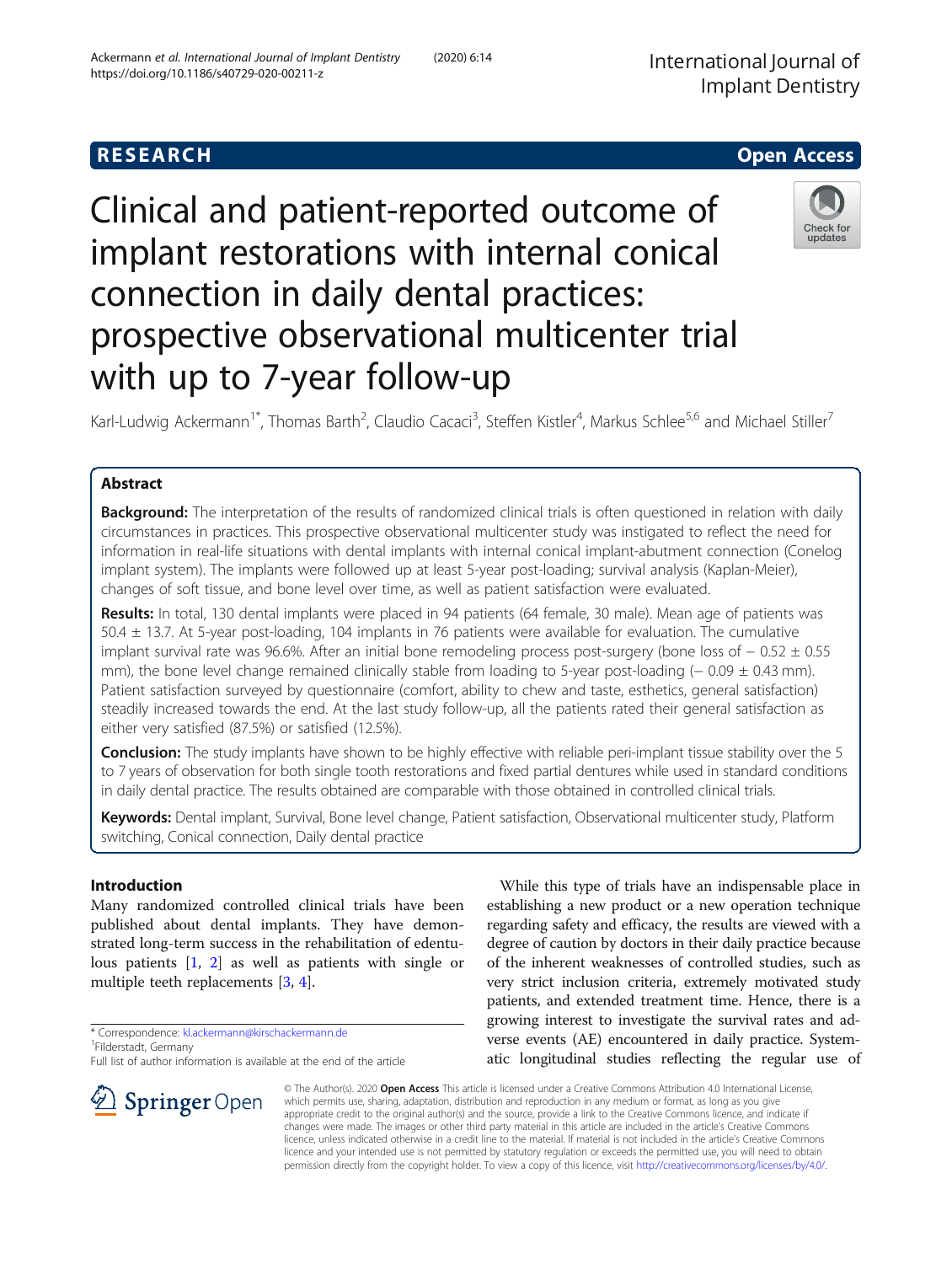# Clinical and patient-reported outcome of implant restorations with internal conical connection in daily dental practices: prospective observational multicenter trial with up to 7-year follow-up

Karl-Ludwig Ackermann<sup>1\*</sup>, Thomas Barth<sup>2</sup>, Claudio Cacaci<sup>3</sup>, Steffen Kistler<sup>4</sup>, Markus Schlee<sup>5,6</sup> and Michael Stiller<sup>7</sup>

# Abstract

Background: The interpretation of the results of randomized clinical trials is often questioned in relation with daily circumstances in practices. This prospective observational multicenter study was instigated to reflect the need for information in real-life situations with dental implants with internal conical implant-abutment connection (Conelog implant system). The implants were followed up at least 5-year post-loading; survival analysis (Kaplan-Meier), changes of soft tissue, and bone level over time, as well as patient satisfaction were evaluated.

Results: In total, 130 dental implants were placed in 94 patients (64 female, 30 male). Mean age of patients was 50.4 ± 13.7. At 5-year post-loading, 104 implants in 76 patients were available for evaluation. The cumulative implant survival rate was 96.6%. After an initial bone remodeling process post-surgery (bone loss of − 0.52 ± 0.55 mm), the bone level change remained clinically stable from loading to 5-year post-loading (− 0.09 ± 0.43 mm). Patient satisfaction surveyed by questionnaire (comfort, ability to chew and taste, esthetics, general satisfaction) steadily increased towards the end. At the last study follow-up, all the patients rated their general satisfaction as either very satisfied (87.5%) or satisfied (12.5%).

Conclusion: The study implants have shown to be highly effective with reliable peri-implant tissue stability over the 5 to 7 years of observation for both single tooth restorations and fixed partial dentures while used in standard conditions in daily dental practice. The results obtained are comparable with those obtained in controlled clinical trials.

Keywords: Dental implant, Survival, Bone level change, Patient satisfaction, Observational multicenter study, Platform switching, Conical connection, Daily dental practice

# Introduction

Many randomized controlled clinical trials have been published about dental implants. They have demonstrated long-term success in the rehabilitation of edentulous patients [\[1,](#page-7-0) [2](#page-7-0)] as well as patients with single or multiple teeth replacements [\[3,](#page-7-0) [4\]](#page-7-0).

\* Correspondence: [kl.ackermann@kirschackermann.de](mailto:kl.ackermann@kirschackermann.de) <sup>1</sup>

While this type of trials have an indispensable place in establishing a new product or a new operation technique regarding safety and efficacy, the results are viewed with a degree of caution by doctors in their daily practice because of the inherent weaknesses of controlled studies, such as very strict inclusion criteria, extremely motivated study patients, and extended treatment time. Hence, there is a growing interest to investigate the survival rates and adverse events (AE) encountered in daily practice. Systematic longitudinal studies reflecting the regular use of

© The Author(s). 2020 Open Access This article is licensed under a Creative Commons Attribution 4.0 International License, which permits use, sharing, adaptation, distribution and reproduction in any medium or format, as long as you give appropriate credit to the original author(s) and the source, provide a link to the Creative Commons licence, and indicate if changes were made. The images or other third party material in this article are included in the article's Creative Commons licence, unless indicated otherwise in a credit line to the material. If material is not included in the article's Creative Commons licence and your intended use is not permitted by statutory regulation or exceeds the permitted use, you will need to obtain permission directly from the copyright holder. To view a copy of this licence, visit <http://creativecommons.org/licenses/by/4.0/>.





Filderstadt, Germany

Full list of author information is available at the end of the article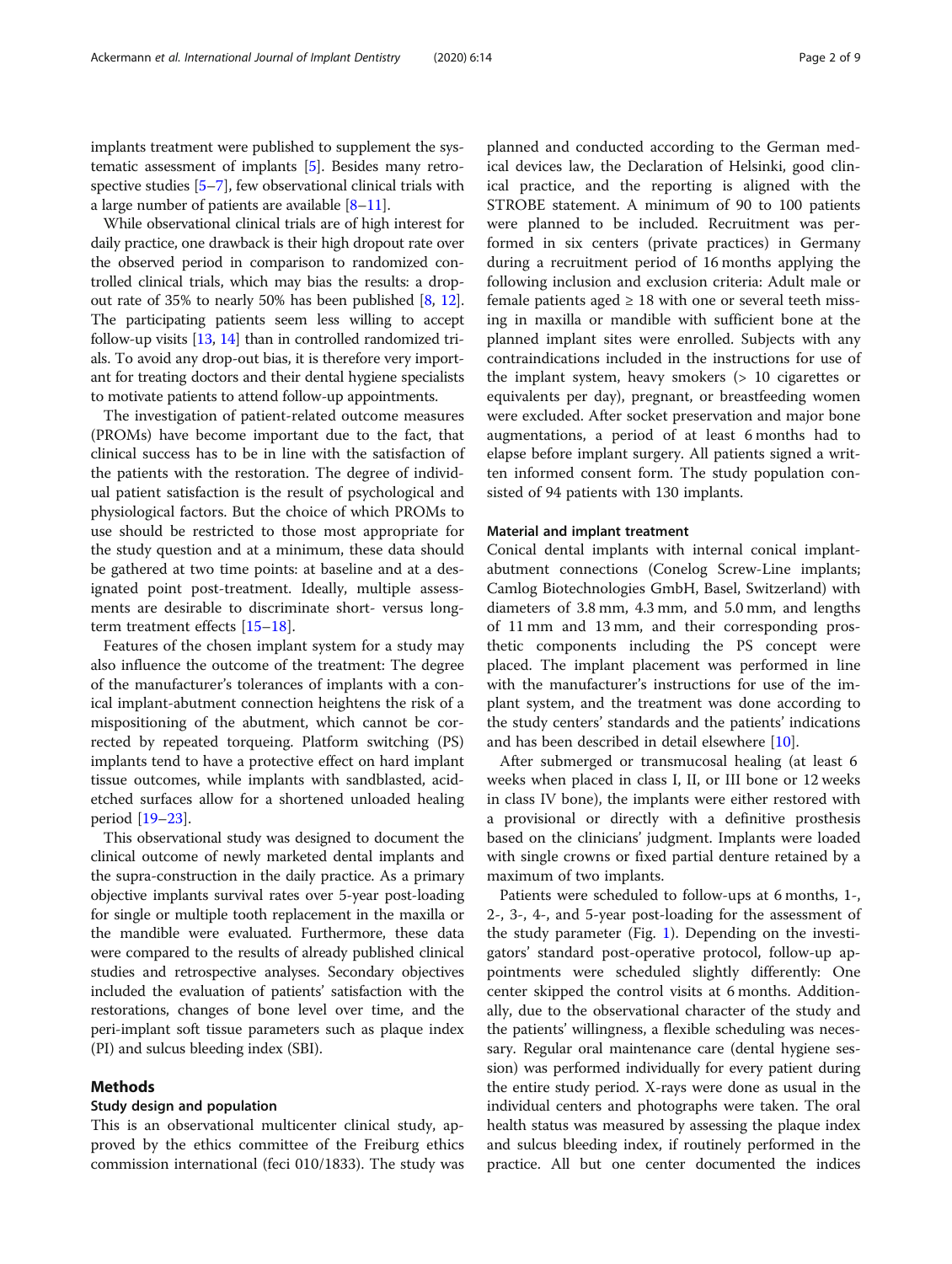implants treatment were published to supplement the systematic assessment of implants [\[5\]](#page-7-0). Besides many retrospective studies [\[5](#page-7-0)–[7\]](#page-7-0), few observational clinical trials with a large number of patients are available [[8](#page-7-0)–[11](#page-7-0)].

While observational clinical trials are of high interest for daily practice, one drawback is their high dropout rate over the observed period in comparison to randomized controlled clinical trials, which may bias the results: a dropout rate of 35% to nearly 50% has been published [\[8](#page-7-0), [12](#page-7-0)]. The participating patients seem less willing to accept follow-up visits [\[13,](#page-7-0) [14](#page-7-0)] than in controlled randomized trials. To avoid any drop-out bias, it is therefore very important for treating doctors and their dental hygiene specialists to motivate patients to attend follow-up appointments.

The investigation of patient-related outcome measures (PROMs) have become important due to the fact, that clinical success has to be in line with the satisfaction of the patients with the restoration. The degree of individual patient satisfaction is the result of psychological and physiological factors. But the choice of which PROMs to use should be restricted to those most appropriate for the study question and at a minimum, these data should be gathered at two time points: at baseline and at a designated point post-treatment. Ideally, multiple assessments are desirable to discriminate short- versus longterm treatment effects [[15](#page-7-0)–[18\]](#page-7-0).

Features of the chosen implant system for a study may also influence the outcome of the treatment: The degree of the manufacturer's tolerances of implants with a conical implant-abutment connection heightens the risk of a mispositioning of the abutment, which cannot be corrected by repeated torqueing. Platform switching (PS) implants tend to have a protective effect on hard implant tissue outcomes, while implants with sandblasted, acidetched surfaces allow for a shortened unloaded healing period [[19](#page-7-0)–[23\]](#page-8-0).

This observational study was designed to document the clinical outcome of newly marketed dental implants and the supra-construction in the daily practice. As a primary objective implants survival rates over 5-year post-loading for single or multiple tooth replacement in the maxilla or the mandible were evaluated. Furthermore, these data were compared to the results of already published clinical studies and retrospective analyses. Secondary objectives included the evaluation of patients' satisfaction with the restorations, changes of bone level over time, and the peri-implant soft tissue parameters such as plaque index (PI) and sulcus bleeding index (SBI).

# Methods

# Study design and population

This is an observational multicenter clinical study, approved by the ethics committee of the Freiburg ethics commission international (feci 010/1833). The study was planned and conducted according to the German medical devices law, the Declaration of Helsinki, good clinical practice, and the reporting is aligned with the STROBE statement. A minimum of 90 to 100 patients were planned to be included. Recruitment was performed in six centers (private practices) in Germany during a recruitment period of 16 months applying the following inclusion and exclusion criteria: Adult male or female patients aged  $\geq$  18 with one or several teeth missing in maxilla or mandible with sufficient bone at the planned implant sites were enrolled. Subjects with any contraindications included in the instructions for use of the implant system, heavy smokers (> 10 cigarettes or equivalents per day), pregnant, or breastfeeding women were excluded. After socket preservation and major bone augmentations, a period of at least 6 months had to elapse before implant surgery. All patients signed a written informed consent form. The study population consisted of 94 patients with 130 implants.

# Material and implant treatment

Conical dental implants with internal conical implantabutment connections (Conelog Screw-Line implants; Camlog Biotechnologies GmbH, Basel, Switzerland) with diameters of 3.8 mm, 4.3 mm, and 5.0 mm, and lengths of 11 mm and 13 mm, and their corresponding prosthetic components including the PS concept were placed. The implant placement was performed in line with the manufacturer's instructions for use of the implant system, and the treatment was done according to the study centers' standards and the patients' indications and has been described in detail elsewhere [\[10\]](#page-7-0).

After submerged or transmucosal healing (at least 6 weeks when placed in class I, II, or III bone or 12 weeks in class IV bone), the implants were either restored with a provisional or directly with a definitive prosthesis based on the clinicians' judgment. Implants were loaded with single crowns or fixed partial denture retained by a maximum of two implants.

Patients were scheduled to follow-ups at 6 months, 1-, 2-, 3-, 4-, and 5-year post-loading for the assessment of the study parameter (Fig. [1\)](#page-2-0). Depending on the investigators' standard post-operative protocol, follow-up appointments were scheduled slightly differently: One center skipped the control visits at 6 months. Additionally, due to the observational character of the study and the patients' willingness, a flexible scheduling was necessary. Regular oral maintenance care (dental hygiene session) was performed individually for every patient during the entire study period. X-rays were done as usual in the individual centers and photographs were taken. The oral health status was measured by assessing the plaque index and sulcus bleeding index, if routinely performed in the practice. All but one center documented the indices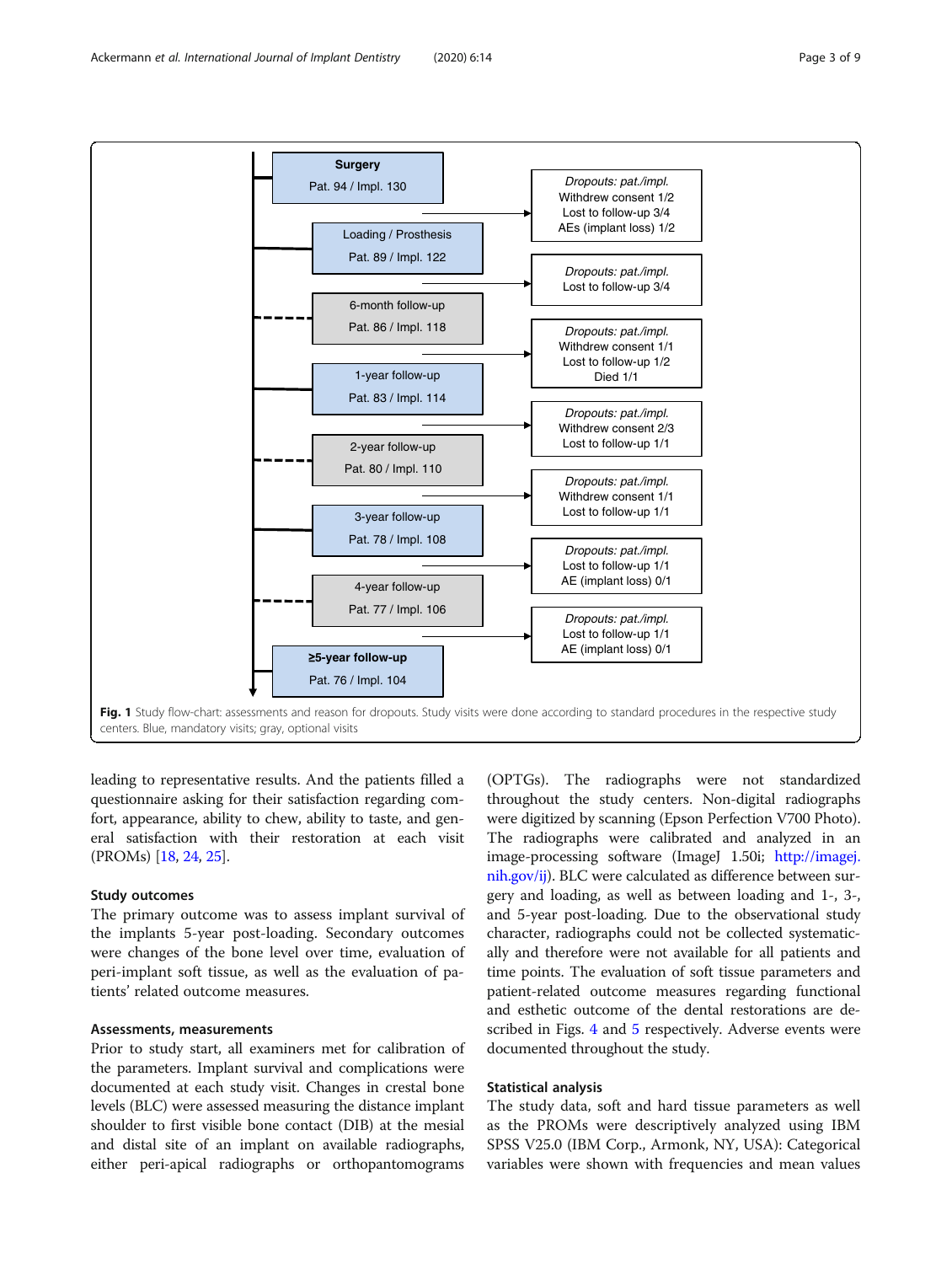<span id="page-2-0"></span>

leading to representative results. And the patients filled a questionnaire asking for their satisfaction regarding comfort, appearance, ability to chew, ability to taste, and general satisfaction with their restoration at each visit (PROMs) [\[18,](#page-7-0) [24](#page-8-0), [25\]](#page-8-0).

# Study outcomes

The primary outcome was to assess implant survival of the implants 5-year post-loading. Secondary outcomes were changes of the bone level over time, evaluation of peri-implant soft tissue, as well as the evaluation of patients' related outcome measures.

# Assessments, measurements

Prior to study start, all examiners met for calibration of the parameters. Implant survival and complications were documented at each study visit. Changes in crestal bone levels (BLC) were assessed measuring the distance implant shoulder to first visible bone contact (DIB) at the mesial and distal site of an implant on available radiographs, either peri-apical radiographs or orthopantomograms

(OPTGs). The radiographs were not standardized throughout the study centers. Non-digital radiographs were digitized by scanning (Epson Perfection V700 Photo). The radiographs were calibrated and analyzed in an image-processing software (ImageJ 1.50i; [http://imagej.](http://imagej.nih.gov/ij) [nih.gov/ij](http://imagej.nih.gov/ij)). BLC were calculated as difference between surgery and loading, as well as between loading and 1-, 3-, and 5-year post-loading. Due to the observational study character, radiographs could not be collected systematically and therefore were not available for all patients and time points. The evaluation of soft tissue parameters and patient-related outcome measures regarding functional and esthetic outcome of the dental restorations are described in Figs. [4](#page-5-0) and [5](#page-6-0) respectively. Adverse events were documented throughout the study.

# Statistical analysis

The study data, soft and hard tissue parameters as well as the PROMs were descriptively analyzed using IBM SPSS V25.0 (IBM Corp., Armonk, NY, USA): Categorical variables were shown with frequencies and mean values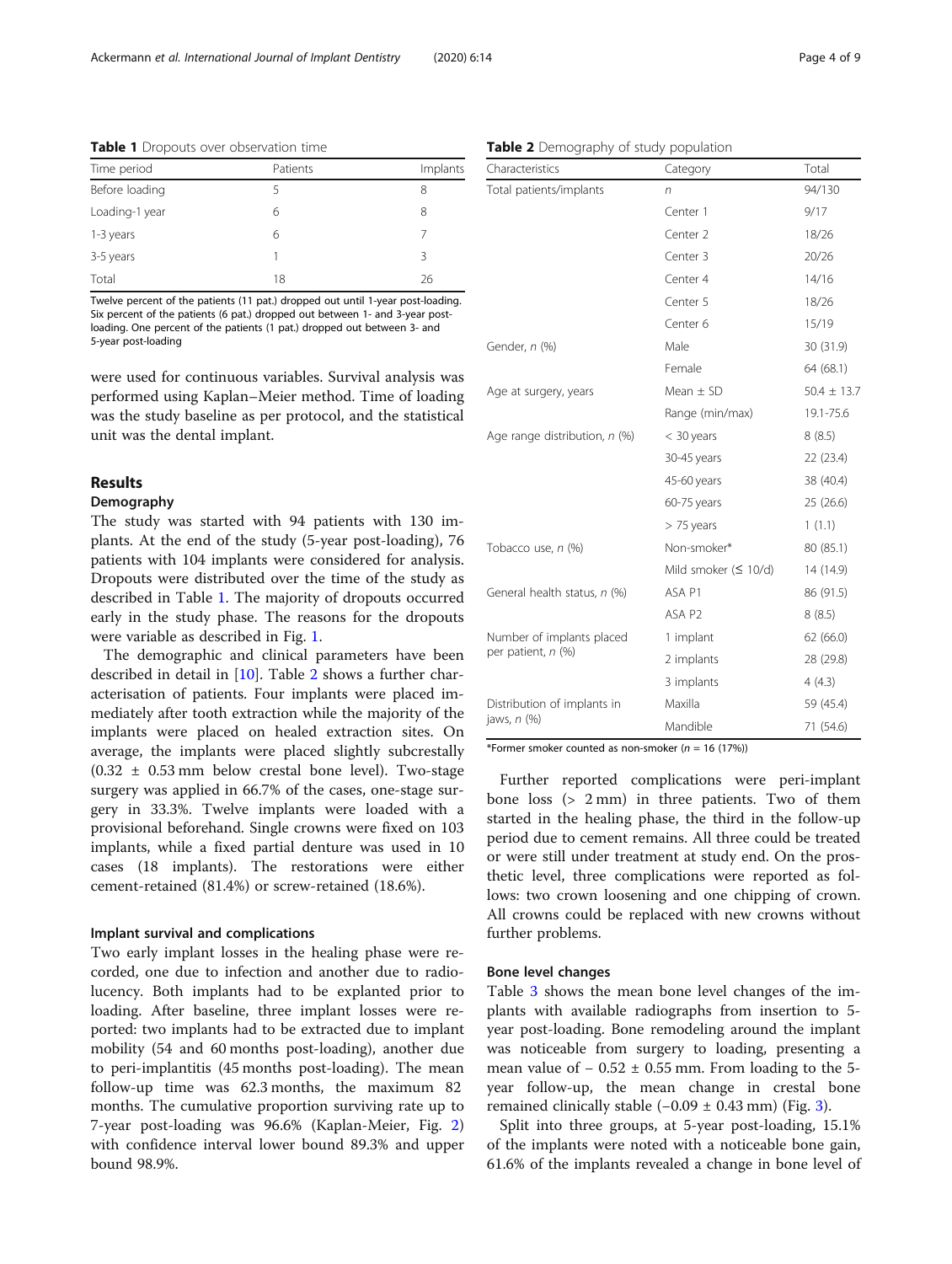| Time period    | Patients | Implants |
|----------------|----------|----------|
| Before loading |          | 8        |
| Loading-1 year | 6        | 8        |
| 1-3 years      | 6        |          |
| 3-5 years      |          | ζ        |
| Total          | 18       | 26       |

Table 1 Dropouts over observation time

Twelve percent of the patients (11 pat.) dropped out until 1-year post-loading. Six percent of the patients (6 pat.) dropped out between 1- and 3-year postloading. One percent of the patients (1 pat.) dropped out between 3- and 5-year post-loading

were used for continuous variables. Survival analysis was performed using Kaplan–Meier method. Time of loading was the study baseline as per protocol, and the statistical unit was the dental implant.

# Results

# Demography

The study was started with 94 patients with 130 implants. At the end of the study (5-year post-loading), 76 patients with 104 implants were considered for analysis. Dropouts were distributed over the time of the study as described in Table 1. The majority of dropouts occurred early in the study phase. The reasons for the dropouts were variable as described in Fig. [1.](#page-2-0)

The demographic and clinical parameters have been described in detail in [\[10](#page-7-0)]. Table 2 shows a further characterisation of patients. Four implants were placed immediately after tooth extraction while the majority of the implants were placed on healed extraction sites. On average, the implants were placed slightly subcrestally  $(0.32 \pm 0.53 \text{ mm}$  below crestal bone level). Two-stage surgery was applied in 66.7% of the cases, one-stage surgery in 33.3%. Twelve implants were loaded with a provisional beforehand. Single crowns were fixed on 103 implants, while a fixed partial denture was used in 10 cases (18 implants). The restorations were either cement-retained (81.4%) or screw-retained (18.6%).

### Implant survival and complications

Two early implant losses in the healing phase were recorded, one due to infection and another due to radiolucency. Both implants had to be explanted prior to loading. After baseline, three implant losses were reported: two implants had to be extracted due to implant mobility (54 and 60 months post-loading), another due to peri-implantitis (45 months post-loading). The mean follow-up time was 62.3 months, the maximum 82 months. The cumulative proportion surviving rate up to 7-year post-loading was 96.6% (Kaplan-Meier, Fig. [2](#page-4-0)) with confidence interval lower bound 89.3% and upper bound 98.9%.

# Table 2 Demography of study population

| Characteristics               | Category              | Total           |
|-------------------------------|-----------------------|-----------------|
| Total patients/implants       | n                     | 94/130          |
|                               | Center 1              | 9/17            |
|                               | Center 2              | 18/26           |
|                               | Center 3              | 20/26           |
|                               | Center 4              | 14/16           |
|                               | Center 5              | 18/26           |
|                               | Center <sub>6</sub>   | 15/19           |
| Gender, n (%)                 | Male                  | 30 (31.9)       |
|                               | Female                | 64 (68.1)       |
| Age at surgery, years         | Mean $\pm$ SD         | $50.4 \pm 13.7$ |
|                               | Range (min/max)       | 19.1-75.6       |
| Age range distribution, n (%) | < 30 years            | 8(8.5)          |
|                               | 30-45 years           | 22 (23.4)       |
|                               | 45-60 years           | 38 (40.4)       |
|                               | 60-75 years           | 25 (26.6)       |
|                               | $> 75$ years          | 1(1.1)          |
| Tobacco use, n (%)            | Non-smoker*           | 80 (85.1)       |
|                               | Mild smoker $(510/d)$ | 14 (14.9)       |
| General health status, n (%)  | ASA P1                | 86 (91.5)       |
|                               | ASA P2                | 8(8.5)          |
| Number of implants placed     | 1 implant             | 62 (66.0)       |
| per patient, n (%)            | 2 implants            | 28 (29.8)       |
|                               | 3 implants            | 4(4.3)          |
| Distribution of implants in   | Maxilla               | 59 (45.4)       |
| jaws, $n$ $(\%)$              | Mandible              | 71 (54.6)       |

\*Former smoker counted as non-smoker ( $n = 16$  (17%))

Further reported complications were peri-implant bone loss (> 2 mm) in three patients. Two of them started in the healing phase, the third in the follow-up period due to cement remains. All three could be treated or were still under treatment at study end. On the prosthetic level, three complications were reported as follows: two crown loosening and one chipping of crown. All crowns could be replaced with new crowns without further problems.

#### Bone level changes

Table [3](#page-4-0) shows the mean bone level changes of the implants with available radiographs from insertion to 5 year post-loading. Bone remodeling around the implant was noticeable from surgery to loading, presenting a mean value of  $-0.52 \pm 0.55$  mm. From loading to the 5year follow-up, the mean change in crestal bone remained clinically stable  $(-0.09 \pm 0.43 \text{ mm})$  $(-0.09 \pm 0.43 \text{ mm})$  $(-0.09 \pm 0.43 \text{ mm})$  (Fig. 3).

Split into three groups, at 5-year post-loading, 15.1% of the implants were noted with a noticeable bone gain, 61.6% of the implants revealed a change in bone level of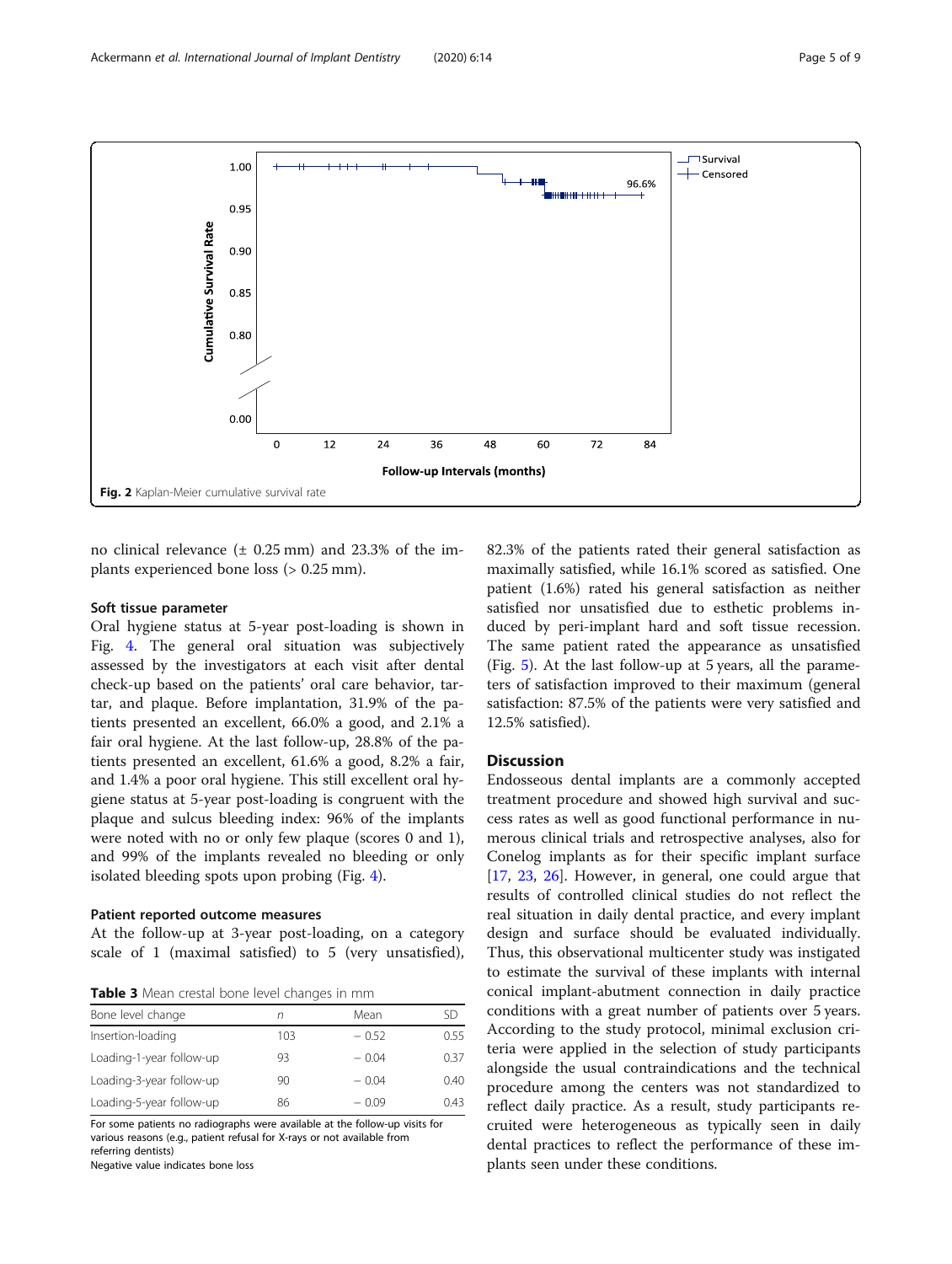<span id="page-4-0"></span>

no clinical relevance  $(\pm 0.25 \text{ mm})$  and 23.3% of the implants experienced bone loss (> 0.25 mm).

# Soft tissue parameter

Oral hygiene status at 5-year post-loading is shown in Fig. [4.](#page-5-0) The general oral situation was subjectively assessed by the investigators at each visit after dental check-up based on the patients' oral care behavior, tartar, and plaque. Before implantation, 31.9% of the patients presented an excellent, 66.0% a good, and 2.1% a fair oral hygiene. At the last follow-up, 28.8% of the patients presented an excellent, 61.6% a good, 8.2% a fair, and 1.4% a poor oral hygiene. This still excellent oral hygiene status at 5-year post-loading is congruent with the plaque and sulcus bleeding index: 96% of the implants were noted with no or only few plaque (scores 0 and 1), and 99% of the implants revealed no bleeding or only isolated bleeding spots upon probing (Fig. [4](#page-5-0)).

# Patient reported outcome measures

At the follow-up at 3-year post-loading, on a category scale of 1 (maximal satisfied) to 5 (very unsatisfied),

Table 3 Mean crestal bone level changes in mm

| Bone level change        | n   | Mean    | SD   |  |  |
|--------------------------|-----|---------|------|--|--|
| Insertion-loading        | 103 | $-0.52$ | 0.55 |  |  |
| Loading-1-year follow-up | 93  | $-0.04$ | 0.37 |  |  |
| Loading-3-year follow-up | 90  | $-0.04$ | 0.40 |  |  |
| Loading-5-year follow-up | 86  | $-0.09$ | 0.43 |  |  |

For some patients no radiographs were available at the follow-up visits for various reasons (e.g., patient refusal for X-rays or not available from referring dentists)

Negative value indicates bone loss

82.3% of the patients rated their general satisfaction as maximally satisfied, while 16.1% scored as satisfied. One patient (1.6%) rated his general satisfaction as neither satisfied nor unsatisfied due to esthetic problems induced by peri-implant hard and soft tissue recession. The same patient rated the appearance as unsatisfied (Fig. [5\)](#page-6-0). At the last follow-up at 5 years, all the parameters of satisfaction improved to their maximum (general satisfaction: 87.5% of the patients were very satisfied and 12.5% satisfied).

# **Discussion**

Endosseous dental implants are a commonly accepted treatment procedure and showed high survival and success rates as well as good functional performance in numerous clinical trials and retrospective analyses, also for Conelog implants as for their specific implant surface [[17,](#page-7-0) [23,](#page-8-0) [26\]](#page-8-0). However, in general, one could argue that results of controlled clinical studies do not reflect the real situation in daily dental practice, and every implant design and surface should be evaluated individually. Thus, this observational multicenter study was instigated to estimate the survival of these implants with internal conical implant-abutment connection in daily practice conditions with a great number of patients over 5 years. According to the study protocol, minimal exclusion criteria were applied in the selection of study participants alongside the usual contraindications and the technical procedure among the centers was not standardized to reflect daily practice. As a result, study participants recruited were heterogeneous as typically seen in daily dental practices to reflect the performance of these implants seen under these conditions.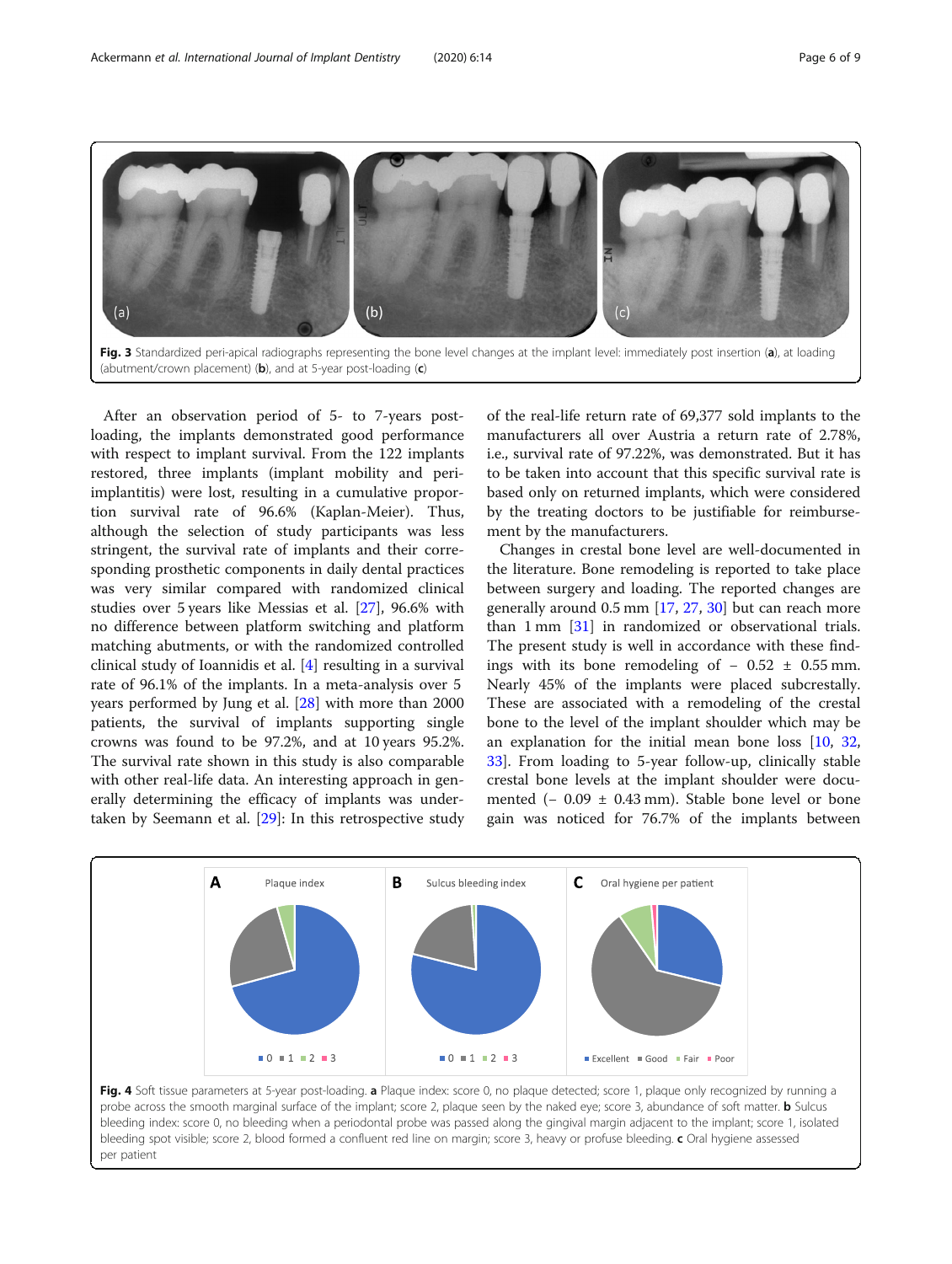<span id="page-5-0"></span>

After an observation period of 5- to 7-years postloading, the implants demonstrated good performance with respect to implant survival. From the 122 implants restored, three implants (implant mobility and periimplantitis) were lost, resulting in a cumulative proportion survival rate of 96.6% (Kaplan-Meier). Thus, although the selection of study participants was less stringent, the survival rate of implants and their corresponding prosthetic components in daily dental practices was very similar compared with randomized clinical studies over 5 years like Messias et al. [\[27](#page-8-0)], 96.6% with no difference between platform switching and platform matching abutments, or with the randomized controlled clinical study of Ioannidis et al. [\[4](#page-7-0)] resulting in a survival rate of 96.1% of the implants. In a meta-analysis over 5 years performed by Jung et al. [\[28](#page-8-0)] with more than 2000 patients, the survival of implants supporting single crowns was found to be 97.2%, and at 10 years 95.2%. The survival rate shown in this study is also comparable with other real-life data. An interesting approach in generally determining the efficacy of implants was undertaken by Seemann et al. [\[29](#page-8-0)]: In this retrospective study

per patient

of the real-life return rate of 69,377 sold implants to the manufacturers all over Austria a return rate of 2.78%, i.e., survival rate of 97.22%, was demonstrated. But it has to be taken into account that this specific survival rate is based only on returned implants, which were considered by the treating doctors to be justifiable for reimbursement by the manufacturers.

Changes in crestal bone level are well-documented in the literature. Bone remodeling is reported to take place between surgery and loading. The reported changes are generally around 0.5 mm [[17](#page-7-0), [27](#page-8-0), [30](#page-8-0)] but can reach more than  $1 \text{ mm}$   $[31]$  $[31]$  in randomized or observational trials. The present study is well in accordance with these findings with its bone remodeling of  $-0.52 \pm 0.55$  mm. Nearly 45% of the implants were placed subcrestally. These are associated with a remodeling of the crestal bone to the level of the implant shoulder which may be an explanation for the initial mean bone loss [[10,](#page-7-0) [32](#page-8-0), [33\]](#page-8-0). From loading to 5-year follow-up, clinically stable crestal bone levels at the implant shoulder were documented ( $-0.09 \pm 0.43$  mm). Stable bone level or bone gain was noticed for 76.7% of the implants between

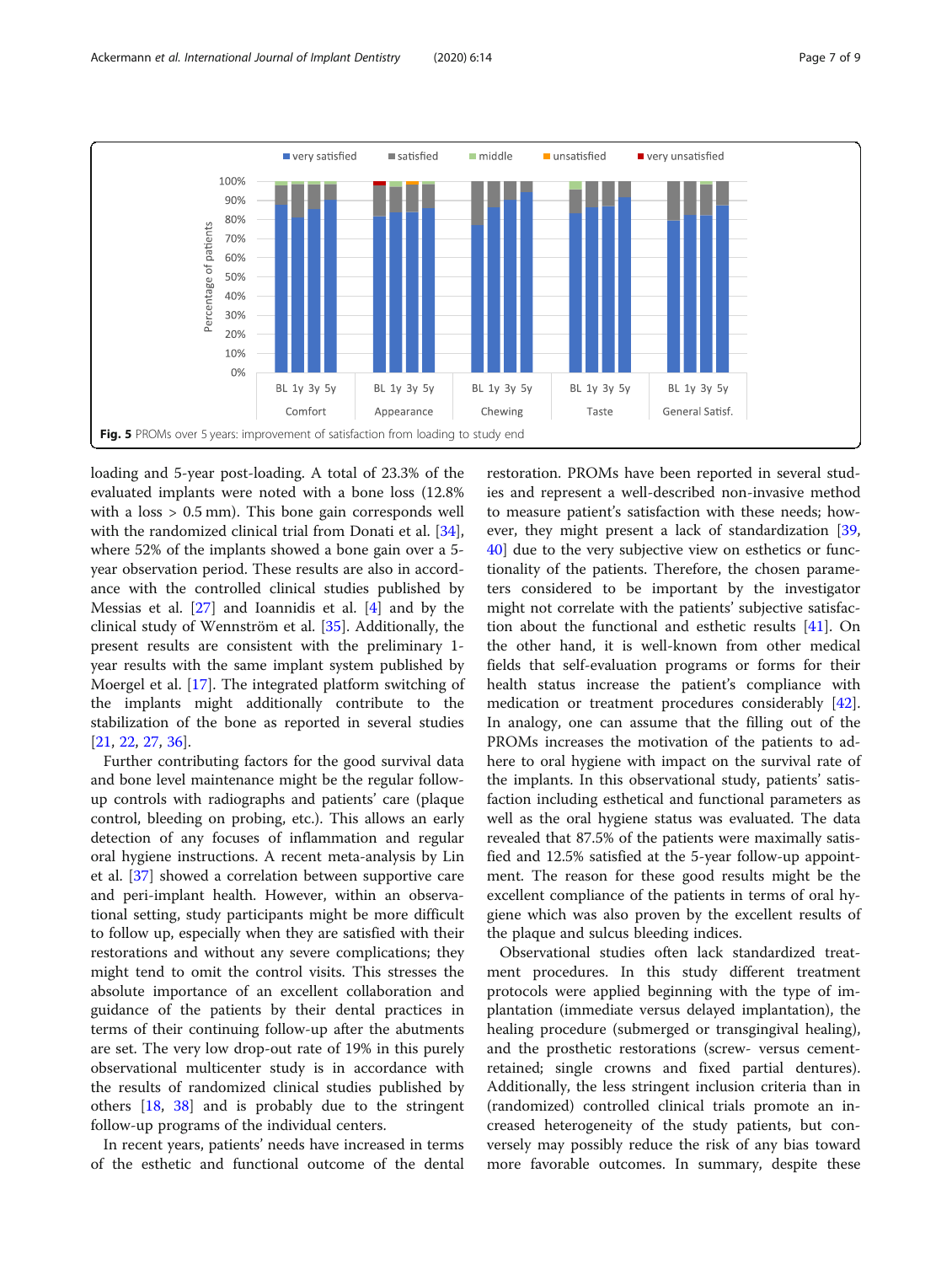<span id="page-6-0"></span>

loading and 5-year post-loading. A total of 23.3% of the evaluated implants were noted with a bone loss (12.8% with a loss > 0.5 mm). This bone gain corresponds well with the randomized clinical trial from Donati et al. [\[34](#page-8-0)], where 52% of the implants showed a bone gain over a 5 year observation period. These results are also in accordance with the controlled clinical studies published by Messias et al. [\[27](#page-8-0)] and Ioannidis et al. [\[4](#page-7-0)] and by the clinical study of Wennström et al. [[35\]](#page-8-0). Additionally, the present results are consistent with the preliminary 1 year results with the same implant system published by Moergel et al. [\[17\]](#page-7-0). The integrated platform switching of the implants might additionally contribute to the stabilization of the bone as reported in several studies [[21,](#page-8-0) [22,](#page-8-0) [27](#page-8-0), [36](#page-8-0)].

Further contributing factors for the good survival data and bone level maintenance might be the regular followup controls with radiographs and patients' care (plaque control, bleeding on probing, etc.). This allows an early detection of any focuses of inflammation and regular oral hygiene instructions. A recent meta-analysis by Lin et al. [[37](#page-8-0)] showed a correlation between supportive care and peri-implant health. However, within an observational setting, study participants might be more difficult to follow up, especially when they are satisfied with their restorations and without any severe complications; they might tend to omit the control visits. This stresses the absolute importance of an excellent collaboration and guidance of the patients by their dental practices in terms of their continuing follow-up after the abutments are set. The very low drop-out rate of 19% in this purely observational multicenter study is in accordance with the results of randomized clinical studies published by others [[18,](#page-7-0) [38](#page-8-0)] and is probably due to the stringent follow-up programs of the individual centers.

In recent years, patients' needs have increased in terms of the esthetic and functional outcome of the dental restoration. PROMs have been reported in several studies and represent a well-described non-invasive method to measure patient's satisfaction with these needs; however, they might present a lack of standardization [[39](#page-8-0), [40\]](#page-8-0) due to the very subjective view on esthetics or functionality of the patients. Therefore, the chosen parameters considered to be important by the investigator might not correlate with the patients' subjective satisfaction about the functional and esthetic results [[41\]](#page-8-0). On the other hand, it is well-known from other medical fields that self-evaluation programs or forms for their health status increase the patient's compliance with medication or treatment procedures considerably [\[42](#page-8-0)]. In analogy, one can assume that the filling out of the PROMs increases the motivation of the patients to adhere to oral hygiene with impact on the survival rate of the implants. In this observational study, patients' satisfaction including esthetical and functional parameters as well as the oral hygiene status was evaluated. The data revealed that 87.5% of the patients were maximally satisfied and 12.5% satisfied at the 5-year follow-up appointment. The reason for these good results might be the excellent compliance of the patients in terms of oral hygiene which was also proven by the excellent results of the plaque and sulcus bleeding indices.

Observational studies often lack standardized treatment procedures. In this study different treatment protocols were applied beginning with the type of implantation (immediate versus delayed implantation), the healing procedure (submerged or transgingival healing), and the prosthetic restorations (screw- versus cementretained; single crowns and fixed partial dentures). Additionally, the less stringent inclusion criteria than in (randomized) controlled clinical trials promote an increased heterogeneity of the study patients, but conversely may possibly reduce the risk of any bias toward more favorable outcomes. In summary, despite these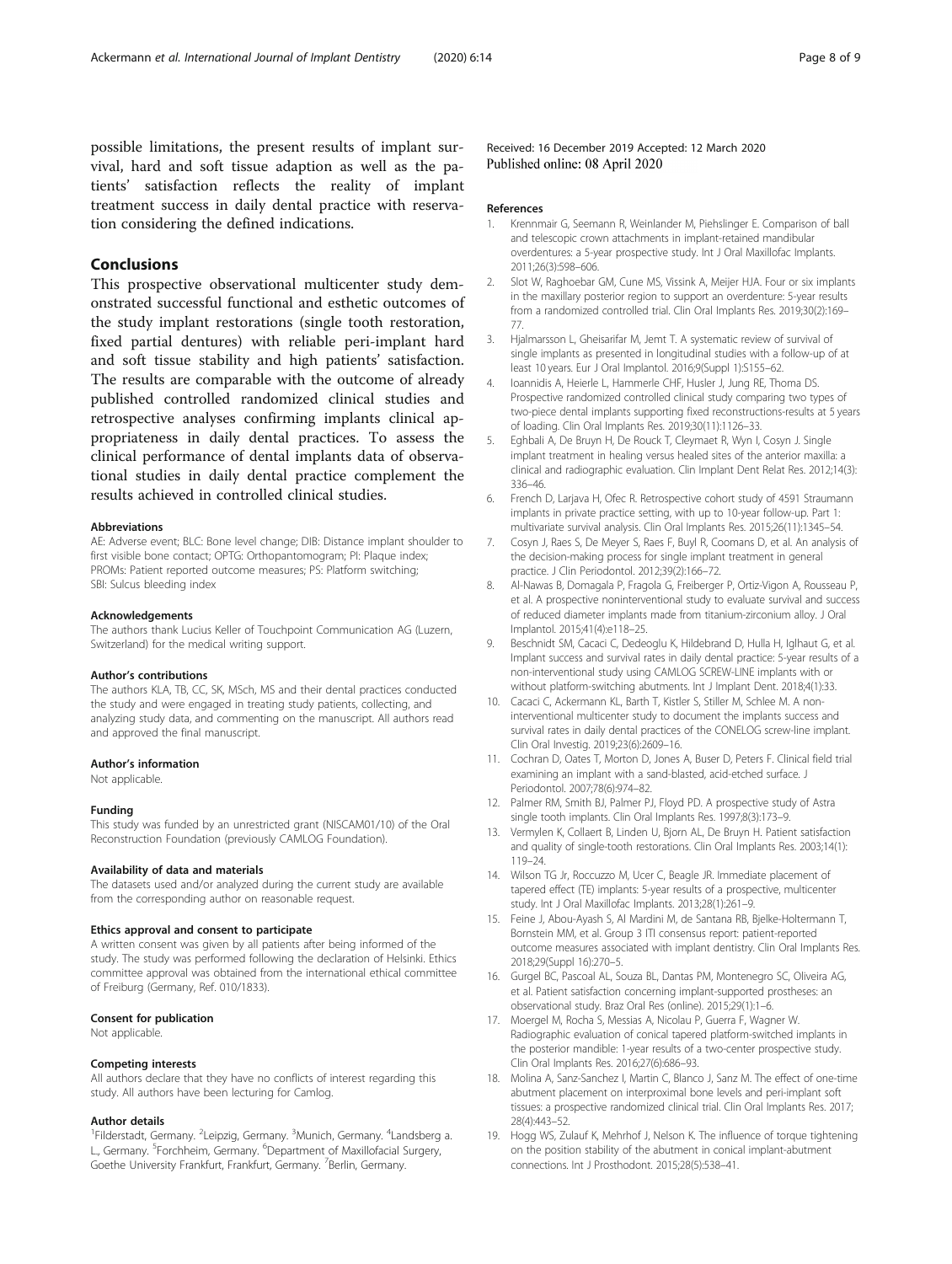<span id="page-7-0"></span>possible limitations, the present results of implant survival, hard and soft tissue adaption as well as the patients' satisfaction reflects the reality of implant treatment success in daily dental practice with reservation considering the defined indications.

# Conclusions

This prospective observational multicenter study demonstrated successful functional and esthetic outcomes of the study implant restorations (single tooth restoration, fixed partial dentures) with reliable peri-implant hard and soft tissue stability and high patients' satisfaction. The results are comparable with the outcome of already published controlled randomized clinical studies and retrospective analyses confirming implants clinical appropriateness in daily dental practices. To assess the clinical performance of dental implants data of observational studies in daily dental practice complement the results achieved in controlled clinical studies.

#### Abbreviations

AE: Adverse event; BLC: Bone level change; DIB: Distance implant shoulder to first visible bone contact; OPTG: Orthopantomogram; PI: Plaque index; PROMs: Patient reported outcome measures; PS: Platform switching; SBI: Sulcus bleeding index

#### Acknowledgements

The authors thank Lucius Keller of Touchpoint Communication AG (Luzern, Switzerland) for the medical writing support.

#### Author's contributions

The authors KLA, TB, CC, SK, MSch, MS and their dental practices conducted the study and were engaged in treating study patients, collecting, and analyzing study data, and commenting on the manuscript. All authors read and approved the final manuscript.

#### Author's information

Not applicable.

#### Funding

This study was funded by an unrestricted grant (NISCAM01/10) of the Oral Reconstruction Foundation (previously CAMLOG Foundation).

#### Availability of data and materials

The datasets used and/or analyzed during the current study are available from the corresponding author on reasonable request.

#### Ethics approval and consent to participate

A written consent was given by all patients after being informed of the study. The study was performed following the declaration of Helsinki. Ethics committee approval was obtained from the international ethical committee of Freiburg (Germany, Ref. 010/1833).

# Consent for publication

Not applicable.

#### Competing interests

All authors declare that they have no conflicts of interest regarding this study. All authors have been lecturing for Camlog.

#### Author details

<sup>1</sup>Filderstadt, Germany. <sup>2</sup>Leipzig, Germany. <sup>3</sup>Munich, Germany. <sup>4</sup>Landsberg a. L., Germany. <sup>5</sup>Forchheim, Germany. <sup>6</sup>Department of Maxillofacial Surgery, Goethe University Frankfurt, Frankfurt, Germany. <sup>7</sup>Berlin, Germany.

Received: 16 December 2019 Accepted: 12 March 2020 Published online: 08 April 2020

#### References

- 1. Krennmair G, Seemann R, Weinlander M, Piehslinger E. Comparison of ball and telescopic crown attachments in implant-retained mandibular overdentures: a 5-year prospective study. Int J Oral Maxillofac Implants. 2011;26(3):598–606.
- 2. Slot W, Raghoebar GM, Cune MS, Vissink A, Meijer HJA. Four or six implants in the maxillary posterior region to support an overdenture: 5-year results from a randomized controlled trial. Clin Oral Implants Res. 2019;30(2):169– 77.
- 3. Hjalmarsson L, Gheisarifar M, Jemt T. A systematic review of survival of single implants as presented in longitudinal studies with a follow-up of at least 10 years. Eur J Oral Implantol. 2016;9(Suppl 1):S155–62.
- 4. Ioannidis A, Heierle L, Hammerle CHF, Husler J, Jung RE, Thoma DS. Prospective randomized controlled clinical study comparing two types of two-piece dental implants supporting fixed reconstructions-results at 5 years of loading. Clin Oral Implants Res. 2019;30(11):1126–33.
- 5. Eghbali A, De Bruyn H, De Rouck T, Cleymaet R, Wyn I, Cosyn J. Single implant treatment in healing versus healed sites of the anterior maxilla: a clinical and radiographic evaluation. Clin Implant Dent Relat Res. 2012;14(3): 336–46.
- 6. French D, Larjava H, Ofec R. Retrospective cohort study of 4591 Straumann implants in private practice setting, with up to 10-year follow-up. Part 1: multivariate survival analysis. Clin Oral Implants Res. 2015;26(11):1345–54.
- 7. Cosyn J, Raes S, De Meyer S, Raes F, Buyl R, Coomans D, et al. An analysis of the decision-making process for single implant treatment in general practice. J Clin Periodontol. 2012;39(2):166–72.
- 8. Al-Nawas B, Domagala P, Fragola G, Freiberger P, Ortiz-Vigon A, Rousseau P, et al. A prospective noninterventional study to evaluate survival and success of reduced diameter implants made from titanium-zirconium alloy. J Oral Implantol. 2015;41(4):e118–25.
- 9. Beschnidt SM, Cacaci C, Dedeoglu K, Hildebrand D, Hulla H, Iglhaut G, et al. Implant success and survival rates in daily dental practice: 5-year results of a non-interventional study using CAMLOG SCREW-LINE implants with or without platform-switching abutments. Int J Implant Dent. 2018;4(1):33.
- 10. Cacaci C, Ackermann KL, Barth T, Kistler S, Stiller M, Schlee M. A noninterventional multicenter study to document the implants success and survival rates in daily dental practices of the CONELOG screw-line implant. Clin Oral Investig. 2019;23(6):2609–16.
- 11. Cochran D, Oates T, Morton D, Jones A, Buser D, Peters F. Clinical field trial examining an implant with a sand-blasted, acid-etched surface. J Periodontol. 2007;78(6):974–82.
- 12. Palmer RM, Smith BJ, Palmer PJ, Floyd PD. A prospective study of Astra single tooth implants. Clin Oral Implants Res. 1997;8(3):173–9.
- 13. Vermylen K, Collaert B, Linden U, Bjorn AL, De Bruyn H. Patient satisfaction and quality of single-tooth restorations. Clin Oral Implants Res. 2003;14(1): 119–24.
- 14. Wilson TG Jr, Roccuzzo M, Ucer C, Beagle JR. Immediate placement of tapered effect (TE) implants: 5-year results of a prospective, multicenter study. Int J Oral Maxillofac Implants. 2013;28(1):261–9.
- 15. Feine J, Abou-Ayash S, Al Mardini M, de Santana RB, Bjelke-Holtermann T, Bornstein MM, et al. Group 3 ITI consensus report: patient-reported outcome measures associated with implant dentistry. Clin Oral Implants Res. 2018;29(Suppl 16):270–5.
- 16. Gurgel BC, Pascoal AL, Souza BL, Dantas PM, Montenegro SC, Oliveira AG, et al. Patient satisfaction concerning implant-supported prostheses: an observational study. Braz Oral Res (online). 2015;29(1):1–6.
- 17. Moergel M, Rocha S, Messias A, Nicolau P, Guerra F, Wagner W. Radiographic evaluation of conical tapered platform-switched implants in the posterior mandible: 1-year results of a two-center prospective study. Clin Oral Implants Res. 2016;27(6):686–93.
- 18. Molina A, Sanz-Sanchez I, Martin C, Blanco J, Sanz M. The effect of one-time abutment placement on interproximal bone levels and peri-implant soft tissues: a prospective randomized clinical trial. Clin Oral Implants Res. 2017; 28(4):443–52.
- 19. Hogg WS, Zulauf K, Mehrhof J, Nelson K. The influence of torque tightening on the position stability of the abutment in conical implant-abutment connections. Int J Prosthodont. 2015;28(5):538–41.